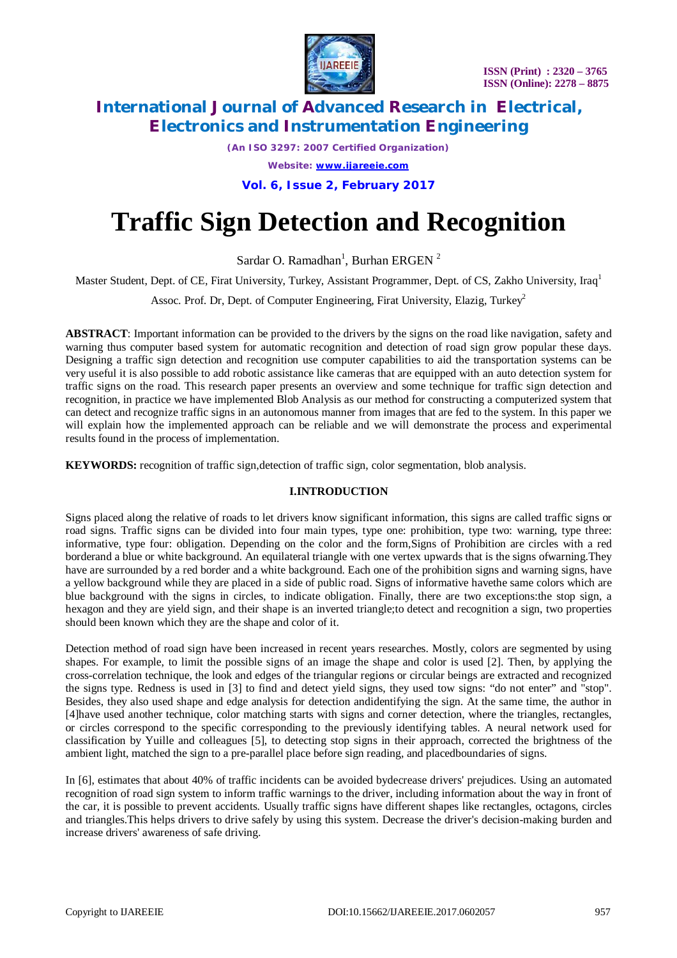

*(An ISO 3297: 2007 Certified Organization)*

*Website: [www.ijareeie.com](http://www.ijareeie.com)*

**Vol. 6, Issue 2, February 2017**

# **Traffic Sign Detection and Recognition**

Sardar O. Ramadhan<sup>1</sup>, Burhan ERGEN<sup>2</sup>

Master Student, Dept. of CE, Firat University, Turkey, Assistant Programmer, Dept. of CS, Zakho University, Iraq<sup>1</sup>

Assoc. Prof. Dr, Dept. of Computer Engineering, Firat University, Elazig, Turkey<sup>2</sup>

**ABSTRACT**: Important information can be provided to the drivers by the signs on the road like navigation, safety and warning thus computer based system for automatic recognition and detection of road sign grow popular these days. Designing a traffic sign detection and recognition use computer capabilities to aid the transportation systems can be very useful it is also possible to add robotic assistance like cameras that are equipped with an auto detection system for traffic signs on the road. This research paper presents an overview and some technique for traffic sign detection and recognition, in practice we have implemented Blob Analysis as our method for constructing a computerized system that can detect and recognize traffic signs in an autonomous manner from images that are fed to the system. In this paper we will explain how the implemented approach can be reliable and we will demonstrate the process and experimental results found in the process of implementation.

**KEYWORDS:** recognition of traffic sign,detection of traffic sign, color segmentation, blob analysis.

### **I.INTRODUCTION**

Signs placed along the relative of roads to let drivers know significant information, this signs are called traffic signs or road signs. Traffic signs can be divided into four main types, type one: prohibition, type two: warning, type three: informative, type four: obligation. Depending on the color and the form,Signs of Prohibition are circles with a red borderand a blue or white background. An equilateral triangle with one vertex upwards that is the signs ofwarning.They have are surrounded by a red border and a white background. Each one of the prohibition signs and warning signs, have a yellow background while they are placed in a side of public road. Signs of informative havethe same colors which are blue background with the signs in circles, to indicate obligation. Finally, there are two exceptions:the stop sign, a hexagon and they are yield sign, and their shape is an inverted triangle;to detect and recognition a sign, two properties should been known which they are the shape and color of it.

Detection method of road sign have been increased in recent years researches. Mostly, colors are segmented by using shapes. For example, to limit the possible signs of an image the shape and color is used [2]. Then, by applying the cross-correlation technique, the look and edges of the triangular regions or circular beings are extracted and recognized the signs type. Redness is used in [3] to find and detect yield signs, they used tow signs: "do not enter" and "stop". Besides, they also used shape and edge analysis for detection andidentifying the sign. At the same time, the author in [4]have used another technique, color matching starts with signs and corner detection, where the triangles, rectangles, or circles correspond to the specific corresponding to the previously identifying tables. A neural network used for classification by Yuille and colleagues [5], to detecting stop signs in their approach, corrected the brightness of the ambient light, matched the sign to a pre-parallel place before sign reading, and placedboundaries of signs.

In [6], estimates that about 40% of traffic incidents can be avoided bydecrease drivers' prejudices. Using an automated recognition of road sign system to inform traffic warnings to the driver, including information about the way in front of the car, it is possible to prevent accidents. Usually traffic signs have different shapes like rectangles, octagons, circles and triangles.This helps drivers to drive safely by using this system. Decrease the driver's decision-making burden and increase drivers' awareness of safe driving.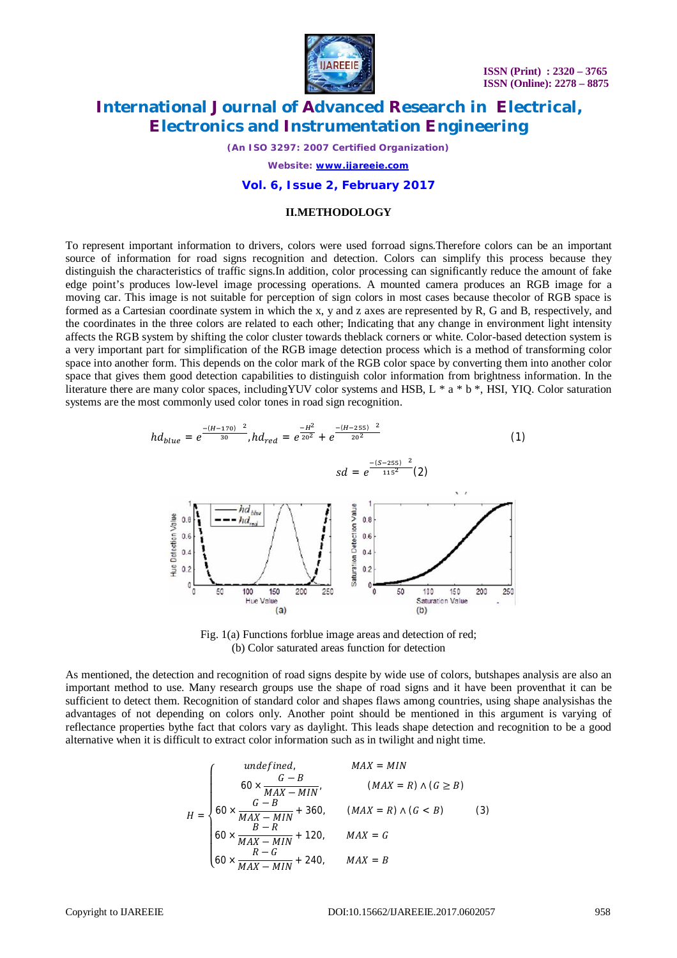

*(An ISO 3297: 2007 Certified Organization)*

*Website: [www.ijareeie.com](http://www.ijareeie.com)*

#### **Vol. 6, Issue 2, February 2017**

#### **II.METHODOLOGY**

To represent important information to drivers, colors were used forroad signs.Therefore colors can be an important source of information for road signs recognition and detection. Colors can simplify this process because they distinguish the characteristics of traffic signs.In addition, color processing can significantly reduce the amount of fake edge point's produces low-level image processing operations. A mounted camera produces an RGB image for a moving car. This image is not suitable for perception of sign colors in most cases because thecolor of RGB space is formed as a Cartesian coordinate system in which the x, y and z axes are represented by R, G and B, respectively, and the coordinates in the three colors are related to each other; Indicating that any change in environment light intensity affects the RGB system by shifting the color cluster towards theblack corners or white. Color-based detection system is a very important part for simplification of the RGB image detection process which is a method of transforming color space into another form. This depends on the color mark of the RGB color space by converting them into another color space that gives them good detection capabilities to distinguish color information from brightness information. In the literature there are many color spaces, includingYUV color systems and HSB, L \* a \* b \*, HSI, YIQ. Color saturation systems are the most commonly used color tones in road sign recognition.



Fig. 1(a) Functions forblue image areas and detection of red; (b) Color saturated areas function for detection

As mentioned, the detection and recognition of road signs despite by wide use of colors, butshapes analysis are also an important method to use. Many research groups use the shape of road signs and it have been proventhat it can be sufficient to detect them. Recognition of standard color and shapes flaws among countries, using shape analysishas the advantages of not depending on colors only. Another point should be mentioned in this argument is varying of reflectance properties bythe fact that colors vary as daylight. This leads shape detection and recognition to be a good alternative when it is difficult to extract color information such as in twilight and night time.

= ܪ ⎩ ⎪ ⎪ ⎪ ⎨ ⎪ ⎪ ⎪ ⎧ ܰܫܯ = ܺܣܯ ݂݊݀݁݅݊݁݀,ݑ 60 × ܤ − ܩ (<sup>ܤ</sup> <sup>≤</sup> <sup>ܩ</sup>) <sup>∧</sup> (ܴ <sup>=</sup> ܺܣܯ) ܰ,ܫܯ <sup>−</sup> ܺܣܯ 60 × ܤ − ܩ (3) (ܤ > ܩ) ∧ (ܴ = ܺܣܯ) 360, + ܰܫܯ − ܺܣܯ 60 × ܴ − ܤ ܩ = ܺܣܯ 120, + ܰܫܯ − ܺܣܯ 60 × ܩ − ܴ ܤ = ܺܣܯ 240, +ܰܫܯ − ܺܣܯ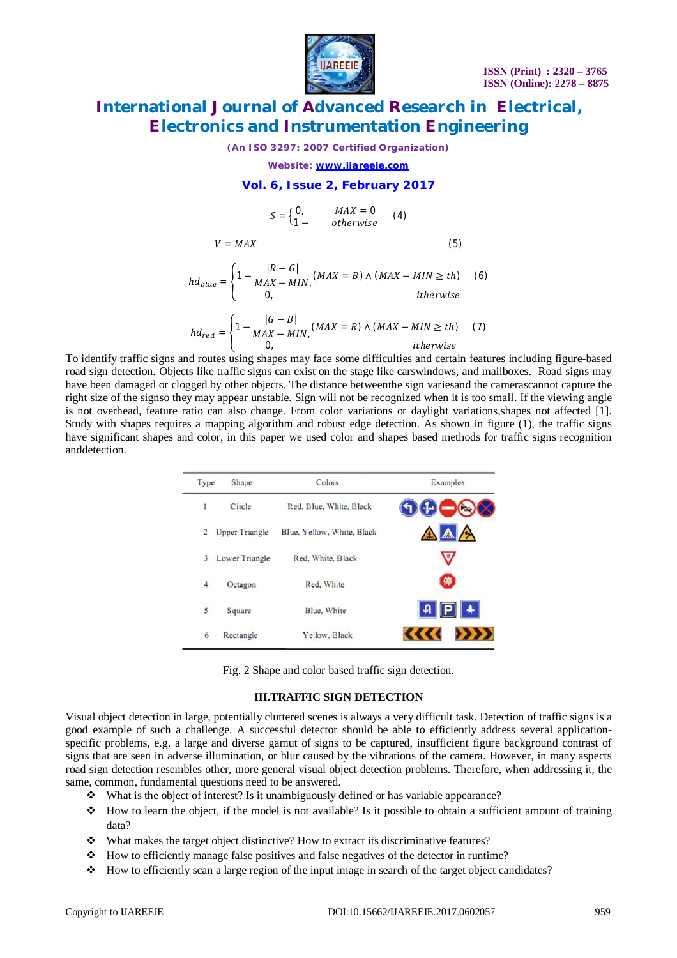

*(An ISO 3297: 2007 Certified Organization)*

*Website: [www.ijareeie.com](http://www.ijareeie.com)*

### **Vol. 6, Issue 2, February 2017**

$$
S = \begin{cases} 0, & MAX = 0 \\ 1 - & otherwise \end{cases} \quad (4)
$$

$$
V = MAX
$$
\n
$$
hd_{blue} = \begin{cases} 1 - \frac{|R - G|}{MAX - MIN,} (MAX = B) \land (MAX - MIN \ge th) & (6) \\ 0, & \text{otherwise} \end{cases}
$$

$$
hd_{red} = \begin{cases} 1 - \frac{|G - B|}{MAX - MIN,} (MAX = R) \land (MAX - MIN \ge th) & (7) \\ 0, & \text{otherwise} \end{cases}
$$

To identify traffic signs and routes using shapes may face some difficulties and certain features including figure-based road sign detection. Objects like traffic signs can exist on the stage like carswindows, and mailboxes. Road signs may have been damaged or clogged by other objects. The distance betweenthe sign variesand the camerascannot capture the right size of the signso they may appear unstable. Sign will not be recognized when it is too small. If the viewing angle is not overhead, feature ratio can also change. From color variations or daylight variations,shapes not affected [1]. Study with shapes requires a mapping algorithm and robust edge detection. As shown in figure (1), the traffic signs have significant shapes and color, in this paper we used color and shapes based methods for traffic signs recognition anddetection.

| Type           | Shape                 | Colors                     | Examples                                                     |
|----------------|-----------------------|----------------------------|--------------------------------------------------------------|
| 1              | Circle                | Red, Blue, White, Black    | DOQQ                                                         |
| $\overline{2}$ | <b>Upper Triangle</b> | Blue, Yellow, White, Black | AAA                                                          |
| 3              | Lower Triangle        | Red, White, Black          | V                                                            |
| $\overline{4}$ | Octagon               | Red. White                 | O                                                            |
| 5              | Square                | Blue, White                | $\mathfrak{q}$ $\boxed{\mathsf{P}}$ $\ast$                   |
| 6              | Rectangle             | Yellow, Black              | $\langle\langle\langle\langle\ \rangle\rangle\rangle\rangle$ |

Fig. 2 Shape and color based traffic sign detection.

#### **III.TRAFFIC SIGN DETECTION**

Visual object detection in large, potentially cluttered scenes is always a very difficult task. Detection of traffic signs is a good example of such a challenge. A successful detector should be able to efficiently address several applicationspecific problems, e.g. a large and diverse gamut of signs to be captured, insufficient figure background contrast of signs that are seen in adverse illumination, or blur caused by the vibrations of the camera. However, in many aspects road sign detection resembles other, more general visual object detection problems. Therefore, when addressing it, the same, common, fundamental questions need to be answered.

- $\bullet$  What is the object of interest? Is it unambiguously defined or has variable appearance?
- $\bullet\bullet\quad$  How to learn the object, if the model is not available? Is it possible to obtain a sufficient amount of training data?
- What makes the target object distinctive? How to extract its discriminative features?
- How to efficiently manage false positives and false negatives of the detector in runtime?
- How to efficiently scan a large region of the input image in search of the target object candidates?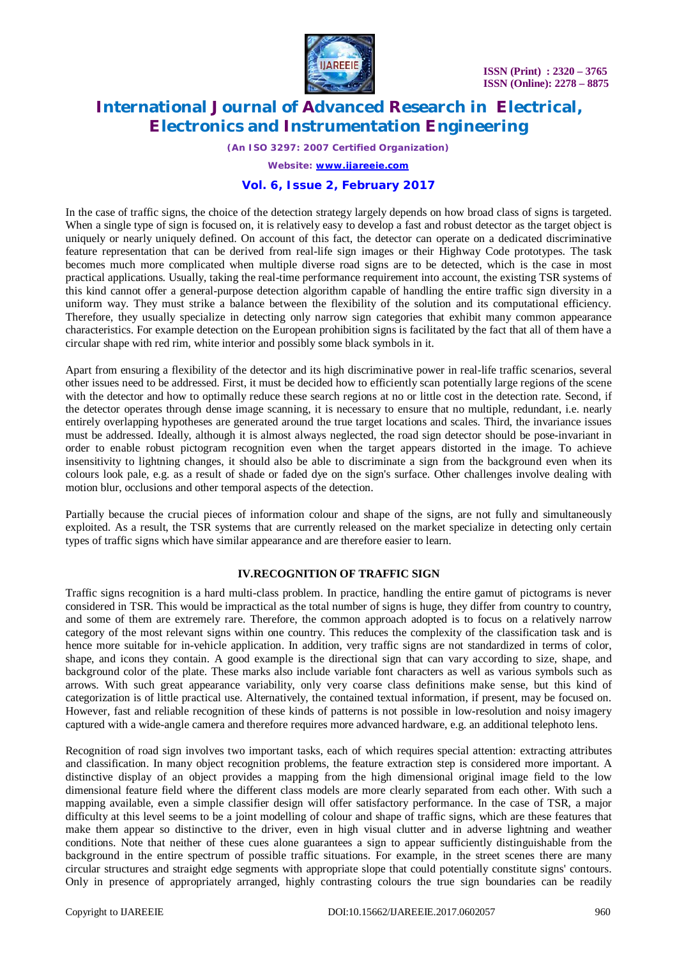

*(An ISO 3297: 2007 Certified Organization)*

*Website: [www.ijareeie.com](http://www.ijareeie.com)*

### **Vol. 6, Issue 2, February 2017**

In the case of traffic signs, the choice of the detection strategy largely depends on how broad class of signs is targeted. When a single type of sign is focused on, it is relatively easy to develop a fast and robust detector as the target object is uniquely or nearly uniquely defined. On account of this fact, the detector can operate on a dedicated discriminative feature representation that can be derived from real-life sign images or their Highway Code prototypes. The task becomes much more complicated when multiple diverse road signs are to be detected, which is the case in most practical applications. Usually, taking the real-time performance requirement into account, the existing TSR systems of this kind cannot offer a general-purpose detection algorithm capable of handling the entire traffic sign diversity in a uniform way. They must strike a balance between the flexibility of the solution and its computational efficiency. Therefore, they usually specialize in detecting only narrow sign categories that exhibit many common appearance characteristics. For example detection on the European prohibition signs is facilitated by the fact that all of them have a circular shape with red rim, white interior and possibly some black symbols in it.

Apart from ensuring a flexibility of the detector and its high discriminative power in real-life traffic scenarios, several other issues need to be addressed. First, it must be decided how to efficiently scan potentially large regions of the scene with the detector and how to optimally reduce these search regions at no or little cost in the detection rate. Second, if the detector operates through dense image scanning, it is necessary to ensure that no multiple, redundant, i.e. nearly entirely overlapping hypotheses are generated around the true target locations and scales. Third, the invariance issues must be addressed. Ideally, although it is almost always neglected, the road sign detector should be pose-invariant in order to enable robust pictogram recognition even when the target appears distorted in the image. To achieve insensitivity to lightning changes, it should also be able to discriminate a sign from the background even when its colours look pale, e.g. as a result of shade or faded dye on the sign's surface. Other challenges involve dealing with motion blur, occlusions and other temporal aspects of the detection.

Partially because the crucial pieces of information colour and shape of the signs, are not fully and simultaneously exploited. As a result, the TSR systems that are currently released on the market specialize in detecting only certain types of traffic signs which have similar appearance and are therefore easier to learn.

### **IV.RECOGNITION OF TRAFFIC SIGN**

Traffic signs recognition is a hard multi-class problem. In practice, handling the entire gamut of pictograms is never considered in TSR. This would be impractical as the total number of signs is huge, they differ from country to country, and some of them are extremely rare. Therefore, the common approach adopted is to focus on a relatively narrow category of the most relevant signs within one country. This reduces the complexity of the classification task and is hence more suitable for in-vehicle application. In addition, very traffic signs are not standardized in terms of color, shape, and icons they contain. A good example is the directional sign that can vary according to size, shape, and background color of the plate. These marks also include variable font characters as well as various symbols such as arrows. With such great appearance variability, only very coarse class definitions make sense, but this kind of categorization is of little practical use. Alternatively, the contained textual information, if present, may be focused on. However, fast and reliable recognition of these kinds of patterns is not possible in low-resolution and noisy imagery captured with a wide-angle camera and therefore requires more advanced hardware, e.g. an additional telephoto lens.

Recognition of road sign involves two important tasks, each of which requires special attention: extracting attributes and classification. In many object recognition problems, the feature extraction step is considered more important. A distinctive display of an object provides a mapping from the high dimensional original image field to the low dimensional feature field where the different class models are more clearly separated from each other. With such a mapping available, even a simple classifier design will offer satisfactory performance. In the case of TSR, a major difficulty at this level seems to be a joint modelling of colour and shape of traffic signs, which are these features that make them appear so distinctive to the driver, even in high visual clutter and in adverse lightning and weather conditions. Note that neither of these cues alone guarantees a sign to appear sufficiently distinguishable from the background in the entire spectrum of possible traffic situations. For example, in the street scenes there are many circular structures and straight edge segments with appropriate slope that could potentially constitute signs' contours. Only in presence of appropriately arranged, highly contrasting colours the true sign boundaries can be readily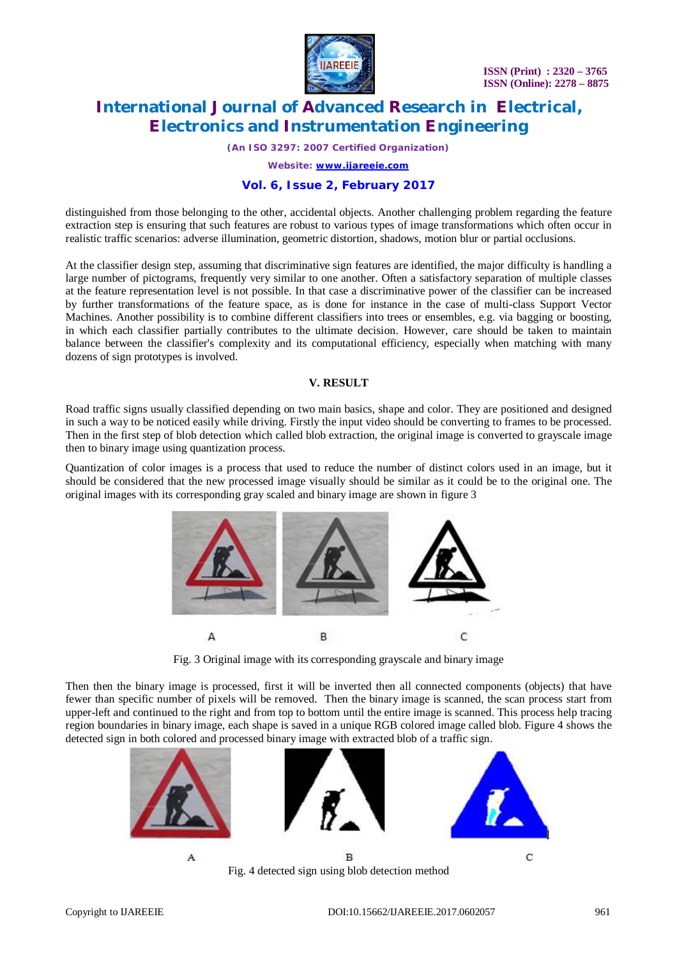

*(An ISO 3297: 2007 Certified Organization)*

*Website: [www.ijareeie.com](http://www.ijareeie.com)*

### **Vol. 6, Issue 2, February 2017**

distinguished from those belonging to the other, accidental objects. Another challenging problem regarding the feature extraction step is ensuring that such features are robust to various types of image transformations which often occur in realistic traffic scenarios: adverse illumination, geometric distortion, shadows, motion blur or partial occlusions.

At the classifier design step, assuming that discriminative sign features are identified, the major difficulty is handling a large number of pictograms, frequently very similar to one another. Often a satisfactory separation of multiple classes at the feature representation level is not possible. In that case a discriminative power of the classifier can be increased by further transformations of the feature space, as is done for instance in the case of multi-class Support Vector Machines. Another possibility is to combine different classifiers into trees or ensembles, e.g. via bagging or boosting, in which each classifier partially contributes to the ultimate decision. However, care should be taken to maintain balance between the classifier's complexity and its computational efficiency, especially when matching with many dozens of sign prototypes is involved.

#### **V. RESULT**

Road traffic signs usually classified depending on two main basics, shape and color. They are positioned and designed in such a way to be noticed easily while driving. Firstly the input video should be converting to frames to be processed. Then in the first step of blob detection which called blob extraction, the original image is converted to grayscale image then to binary image using quantization process.

Quantization of color images is a process that used to reduce the number of distinct colors used in an image, but it should be considered that the new processed image visually should be similar as it could be to the original one. The original images with its corresponding gray scaled and binary image are shown in figure 3



Fig. 3 Original image with its corresponding grayscale and binary image

Then then the binary image is processed, first it will be inverted then all connected components (objects) that have fewer than specific number of pixels will be removed. Then the binary image is scanned, the scan process start from upper-left and continued to the right and from top to bottom until the entire image is scanned. This process help tracing region boundaries in binary image, each shape is saved in a unique RGB colored image called blob. Figure 4 shows the detected sign in both colored and processed binary image with extracted blob of a traffic sign.

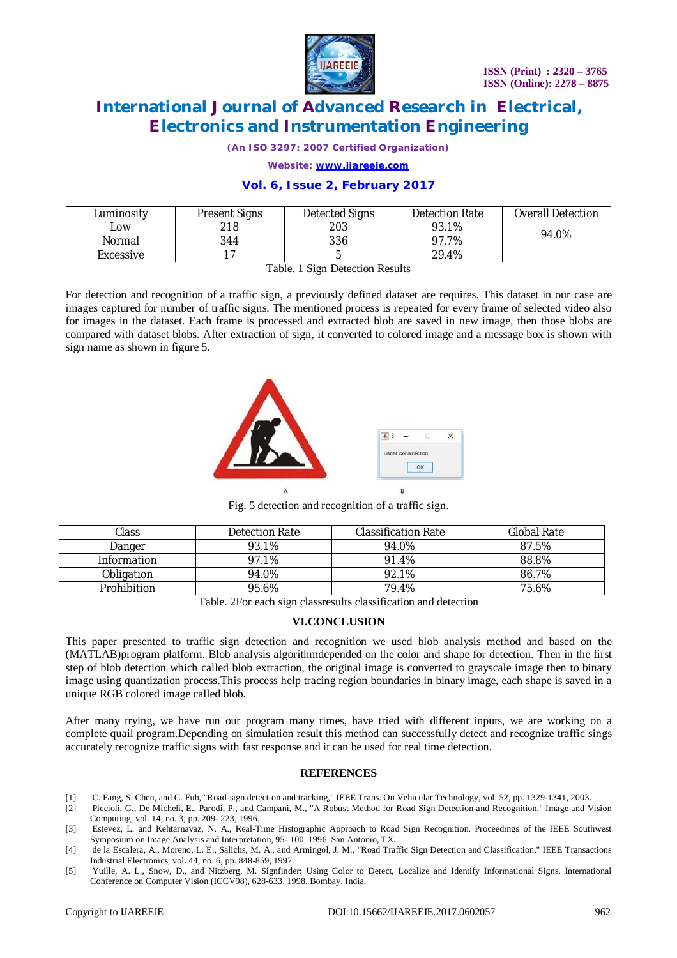

*(An ISO 3297: 2007 Certified Organization)*

*Website: [www.ijareeie.com](http://www.ijareeie.com)*

### **Vol. 6, Issue 2, February 2017**

| Luminositv | <b>Present Signs</b> | Detected Signs | Detection Rate | <b>Overall Detection</b> |
|------------|----------------------|----------------|----------------|--------------------------|
| LOW.       | 218                  | 203            | 93.1%          | 94.0%                    |
| Normal     | 344                  | 336            | 97.7%          |                          |
| Excessive  |                      |                | 29.4%          |                          |

Table. 1 Sign Detection Results

For detection and recognition of a traffic sign, a previously defined dataset are requires. This dataset in our case are images captured for number of traffic signs. The mentioned process is repeated for every frame of selected video also for images in the dataset. Each frame is processed and extracted blob are saved in new image, then those blobs are compared with dataset blobs. After extraction of sign, it converted to colored image and a message box is shown with sign name as shown in figure 5.



Fig. 5 detection and recognition of a traffic sign.

| Class       | Detection Rate | Classification Rate | Global Rate |
|-------------|----------------|---------------------|-------------|
| Danger      | 93.1%          | 94.0%               | 87.5%       |
| Information | 97.1%          | 91.4%               | 88.8%       |
| Obligation  | 94.0%          | 92.1%               | 86.7%       |
| Prohibition | 95.6%          | 79.4%               | 75.6%       |

Table. 2For each sign classresults classification and detection

### **VI.CONCLUSION**

This paper presented to traffic sign detection and recognition we used blob analysis method and based on the (MATLAB)program platform. Blob analysis algorithmdepended on the color and shape for detection. Then in the first step of blob detection which called blob extraction, the original image is converted to grayscale image then to binary image using quantization process.This process help tracing region boundaries in binary image, each shape is saved in a unique RGB colored image called blob.

After many trying, we have run our program many times, have tried with different inputs, we are working on a complete quail program.Depending on simulation result this method can successfully detect and recognize traffic sings accurately recognize traffic signs with fast response and it can be used for real time detection.

#### **REFERENCES**

- [1] C. Fang, S. Chen, and C. Fuh, "Road-sign detection and tracking," IEEE Trans. On Vehicular Technology, vol. 52, pp. 1329-1341, 2003.
- [2] Piccioli, G., De Micheli, E., Parodi, P., and Campani, M., "A Robust Method for Road Sign Detection and Recognition," Image and Vision Computing, vol. 14, no. 3, pp. 209- 223, 1996.
- [3] Estevez, L. and Kehtarnavaz, N. A., Real-Time Histographic Approach to Road Sign Recognition. Proceedings of the IEEE Southwest Symposium on Image Analysis and Interpretation, 95- 100. 1996. San Antonio, TX.
- [4] de la Escalera, A., Moreno, L. E., Salichs, M. A., and Armingol, J. M., "Road Traffic Sign Detection and Classification," IEEE Transactions Industrial Electronics, vol. 44, no. 6, pp. 848-859, 1997.
- [5] Yuille, A. L., Snow, D., and Nitzberg, M. Signfinder: Using Color to Detect, Localize and Identify Informational Signs. International Conference on Computer Vision (ICCV98), 628-633. 1998. Bombay, India.